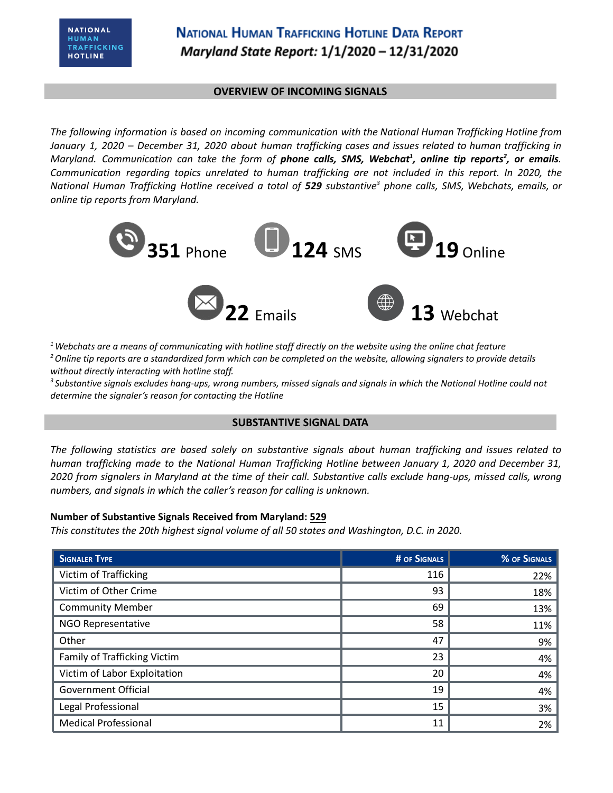#### **OVERVIEW OF INCOMING SIGNALS**

*The following information is based on incoming communication with the National Human Trafficking Hotline from* January 1, 2020 - December 31, 2020 about human trafficking cases and issues related to human trafficking in Maryland. Communication can take the form of **phone calls, SMS, Webchat<sup>1</sup>, online tip reports<sup>2</sup>, or emails.** *Communication regarding topics unrelated to human trafficking are not included in this report. In 2020, the* National Human Trafficking Hotline received a total of 529 substantive<sup>3</sup> phone calls, SMS, Webchats, emails, or *online tip reports from Maryland.*



 $1$  Webchats are a means of communicating with hotline staff directly on the website using the online chat feature <sup>2</sup> Online tip reports are a standardized form which can be completed on the website, allowing signalers to provide details *without directly interacting with hotline staff.*

<sup>3</sup> Substantive signals excludes hang-ups, wrong numbers, missed signals and signals in which the National Hotline could not *determine the signaler's reason for contacting the Hotline*

### **SUBSTANTIVE SIGNAL DATA**

*The following statistics are based solely on substantive signals about human trafficking and issues related to human trafficking made to the National Human Trafficking Hotline between January 1, 2020 and December 31,* 2020 from signalers in Maryland at the time of their call. Substantive calls exclude hang-ups, missed calls, wrong *numbers, and signals in which the caller's reason for calling is unknown.*

### **Number of Substantive Signals Received from Maryland: 529**

*This constitutes the 20th highest signal volume of all 50 states and Washington, D.C. in 2020.*

| <b>SIGNALER TYPE</b>         | # OF SIGNALS | % OF SIGNALS |
|------------------------------|--------------|--------------|
| Victim of Trafficking        | 116          | 22%          |
| Victim of Other Crime        | 93           | 18%          |
| <b>Community Member</b>      | 69           | 13%          |
| NGO Representative           | 58           | 11%          |
| Other                        | 47           | 9%           |
| Family of Trafficking Victim | 23           | 4%           |
| Victim of Labor Exploitation | 20           | 4%           |
| <b>Government Official</b>   | 19           | 4%           |
| Legal Professional           | 15           | 3%           |
| <b>Medical Professional</b>  | 11           | 2%           |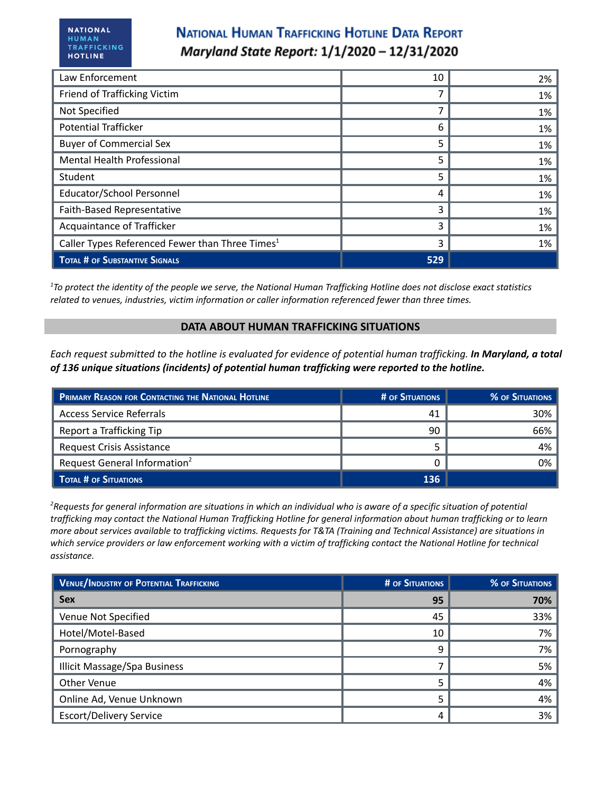| Law Enforcement                                             | 10  | 2% |
|-------------------------------------------------------------|-----|----|
| Friend of Trafficking Victim                                |     | 1% |
| Not Specified                                               |     | 1% |
| <b>Potential Trafficker</b>                                 | 6   | 1% |
| <b>Buyer of Commercial Sex</b>                              | 5   | 1% |
| <b>Mental Health Professional</b>                           | 5   | 1% |
| Student                                                     | 5   | 1% |
| <b>Educator/School Personnel</b>                            | 4   | 1% |
| Faith-Based Representative                                  | 3   | 1% |
| Acquaintance of Trafficker                                  | ς   | 1% |
| Caller Types Referenced Fewer than Three Times <sup>1</sup> | 3   | 1% |
| <b>TOTAL # OF SUBSTANTIVE SIGNALS</b>                       | 529 |    |

 $17$ o protect the identity of the people we serve, the National Human Trafficking Hotline does not disclose exact statistics *related to venues, industries, victim information or caller information referenced fewer than three times.*

#### **DATA ABOUT HUMAN TRAFFICKING SITUATIONS**

Each request submitted to the hotline is evaluated for evidence of potential human trafficking. In Maryland, a total *of 136 unique situations (incidents) of potential human trafficking were reported to the hotline.*

| <b>PRIMARY REASON FOR CONTACTING THE NATIONAL HOTLINE</b> | <b># OF SITUATIONS</b> | <b>% OF SITUATIONS</b> |
|-----------------------------------------------------------|------------------------|------------------------|
| <b>Access Service Referrals</b>                           | 41                     | 30%                    |
| Report a Trafficking Tip                                  | 90                     | 66%                    |
| <b>Request Crisis Assistance</b>                          |                        | 4%                     |
| Request General Information <sup>2</sup>                  |                        | 0%                     |
| TOTAL # OF SITUATIONS                                     | 136                    |                        |

<sup>2</sup>Requests for general information are situations in which an individual who is aware of a specific situation of potential trafficking may contact the National Human Trafficking Hotline for general information about human trafficking or to learn more about services available to trafficking victims. Requests for T&TA (Training and Technical Assistance) are situations in which service providers or law enforcement working with a victim of trafficking contact the National Hotline for technical *assistance.*

| <b>VENUE/INDUSTRY OF POTENTIAL TRAFFICKING</b> | <b># OF SITUATIONS</b> | <b>% OF SITUATIONS</b> |
|------------------------------------------------|------------------------|------------------------|
| <b>Sex</b>                                     | 95                     | 70%                    |
| Venue Not Specified                            | 45                     | 33%                    |
| Hotel/Motel-Based                              | 10                     | 7%                     |
| Pornography                                    | q                      | 7%                     |
| <b>Illicit Massage/Spa Business</b>            |                        | 5%                     |
| Other Venue                                    |                        | 4%                     |
| Online Ad, Venue Unknown                       |                        | 4%                     |
| <b>Escort/Delivery Service</b>                 | 4                      | 3%                     |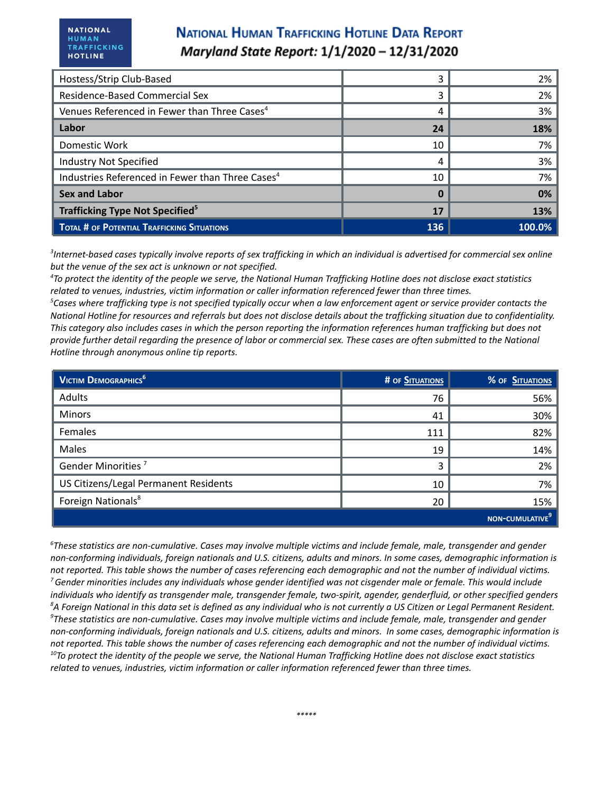| Hostess/Strip Club-Based                                     | 3   | 2%         |
|--------------------------------------------------------------|-----|------------|
| Residence-Based Commercial Sex                               |     | 2%         |
| Venues Referenced in Fewer than Three Cases <sup>4</sup>     | 4   | 3%         |
| Labor                                                        | 24  | <b>18%</b> |
| Domestic Work                                                | 10  | 7%         |
| <b>Industry Not Specified</b>                                | 4   | 3%         |
| Industries Referenced in Fewer than Three Cases <sup>4</sup> | 10  | 7%         |
| <b>Sex and Labor</b>                                         | 0   | 0%         |
| <b>Trafficking Type Not Specified<sup>5</sup></b>            |     | 13%        |
| TOTAL # OF POTENTIAL TRAFFICKING SITUATIONS                  | 136 | 100.0%     |

 ${}^{3}$ Internet-based cases typically involve reports of sex trafficking in which an individual is advertised for commercial sex online *but the venue of the sex act is unknown or not specified.*

<sup>4</sup>To protect the identity of the people we serve, the National Human Trafficking Hotline does not disclose exact statistics *related to venues, industries, victim information or caller information referenced fewer than three times.*

 ${}^5$ Cases where trafficking type is not specified typically occur when a law enforcement agent or service provider contacts the National Hotline for resources and referrals but does not disclose details about the trafficking situation due to confidentiality. This category also includes cases in which the person reporting the information references human trafficking but does not provide further detail regarding the presence of labor or commercial sex. These cases are often submitted to the National *Hotline through anonymous online tip reports.*

| <b>VICTIM DEMOGRAPHICS</b> <sup>6</sup> | # OF SITUATIONS | % OF SITUATIONS    |
|-----------------------------------------|-----------------|--------------------|
| Adults                                  | 76              | 56%                |
| Minors                                  | 41              | 30%                |
| Females                                 | 111             | 82%                |
| Males                                   | 19              | 14%                |
| Gender Minorities <sup>7</sup>          | 3               | 2%                 |
| US Citizens/Legal Permanent Residents   | 10              | 7%                 |
| Foreign Nationals <sup>8</sup>          | 20              | 15%                |
|                                         |                 | <b>NON-CUMULAT</b> |

 $6$ These statistics are non-cumulative. Cases may involve multiple victims and include female, male, transgender and gender non-conforming individuals, foreign nationals and U.S. citizens, adults and minors. In some cases, demographic information is not reported. This table shows the number of cases referencing each demographic and not the number of individual victims.  $^7$ Gender minorities includes any individuals whose gender identified was not cisgender male or female. This would include individuals who identify as transgender male, transgender female, two-spirit, agender, genderfluid, or other specified genders <sup>8</sup>A Foreign National in this data set is defined as any individual who is not currently a US Citizen or Legal Permanent Resident.  $\textsuperscript{9}$ These statistics are non-cumulative. Cases may involve multiple victims and include female, male, transgender and gender non-conforming individuals, foreign nationals and U.S. citizens, adults and minors. In some cases, demographic information is not reported. This table shows the number of cases referencing each demographic and not the number of individual victims.  $^{10}$ To protect the identity of the people we serve, the National Human Trafficking Hotline does not disclose exact statistics *related to venues, industries, victim information or caller information referenced fewer than three times.*